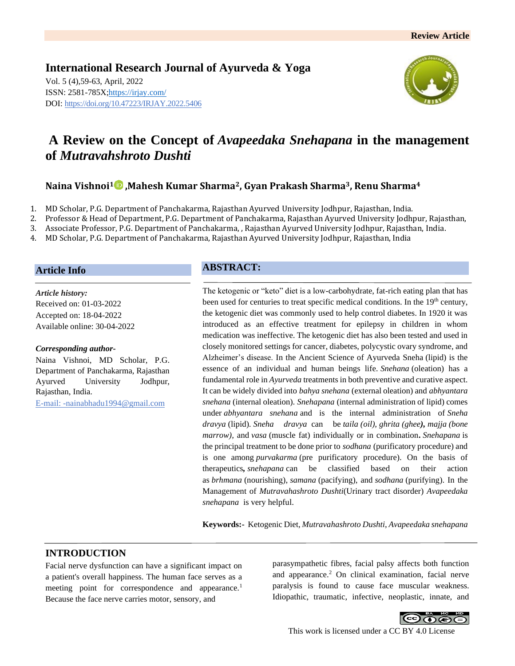**International Research Journal of Ayurveda & Yoga** Vol. 5 (4),59-63, April, 2022 ISSN: 2581-785X[; https://irjay.com/](https://irjay.com/) DOI: https://doi.org/10.47223/IRJAY.2022.5406



# **A Review on the Concept of** *Avapeedaka Snehapana* **in the management of** *Mutravahshroto Dushti*

# **Naina Vishnoi<sup>1</sup> ,Mahesh Kumar Sharma2, Gyan Prakash Sharma3, Renu Sharma<sup>4</sup>**

- 1. MD Scholar, P.G. Department of Panchakarma, Rajasthan Ayurved University Jodhpur, Rajasthan, India.
- 2. Professor & Head of Department, P.G. Department of Panchakarma, Rajasthan Ayurved University Jodhpur, Rajasthan,
- 3. Associate Professor, P.G. Department of Panchakarma, , Rajasthan Ayurved University Jodhpur, Rajasthan, India.
- 4. MD Scholar, P.G. Department of Panchakarma, Rajasthan Ayurved University Jodhpur, Rajasthan, India

#### **Article Info**

*Article history:* Received on: 01-03-2022 Accepted on: 18-04-2022 Available online: 30-04-2022

#### *Corresponding author-*

Naina Vishnoi, MD Scholar, P.G. Department of Panchakarma, Rajasthan Ayurved University Jodhpur, Rajasthan, India. E-mail: -nainabhadu1994@gmail.com

### **ABSTRACT:**

The ketogenic or "keto" diet is a low-carbohydrate, fat-rich eating plan that has been used for centuries to treat specific medical conditions. In the 19<sup>th</sup> century, the ketogenic diet was commonly used to help control diabetes. In 1920 it was introduced as an effective treatment for epilepsy in children in whom medication was ineffective. The ketogenic diet has also been tested and used in closely monitored settings for cancer, diabetes, polycystic ovary syndrome, and Alzheimer's disease. In the Ancient Science of Ayurveda Sneha (lipid) is the essence of an individual and human beings life. *Snehana* (oleation) has a fundamental role in *Ayurveda* treatments in both preventive and curative aspect. It can be widely divided into *bahya snehana* (external oleation) and *abhyantara snehana* (internal oleation). *Snehapana* (internal administration of lipid) comes under *abhyantara snehana* and is the internal administration of *Sneha dravya* (lipid). *Sneha dravya* can be *taila (oil), ghrita (ghee), majja (bone marrow),* and *vasa* (muscle fat) individually or in combination**.** *Snehapana* is the principal treatment to be done prior to *sodhana* (purificatory procedure) and is one among *purvakarma* (pre purificatory procedure). On the basis of therapeutics*, snehapana* can be classified based on their action as *brhmana* (nourishing), *samana* (pacifying), and *sodhana* (purifying). In the Management of *Mutravahashroto Dushti*(Urinary tract disorder) *Avapeedaka snehapana* is very helpful.

**Keywords:-** Ketogenic Diet, *Mutravahashroto Dushti*, *Avapeedaka snehapana*

### **INTRODUCTION**

Facial nerve dysfunction can have a significant impact on a patient's overall happiness. The human face serves as a meeting point for correspondence and appearance.<sup>1</sup> Because the face nerve carries motor, sensory, and

parasympathetic fibres, facial palsy affects both function and appearance.<sup>2</sup> On clinical examination, facial nerve paralysis is found to cause face muscular weakness. Idiopathic, traumatic, infective, neoplastic, innate, and



This work is licensed under a CC BY 4.0 License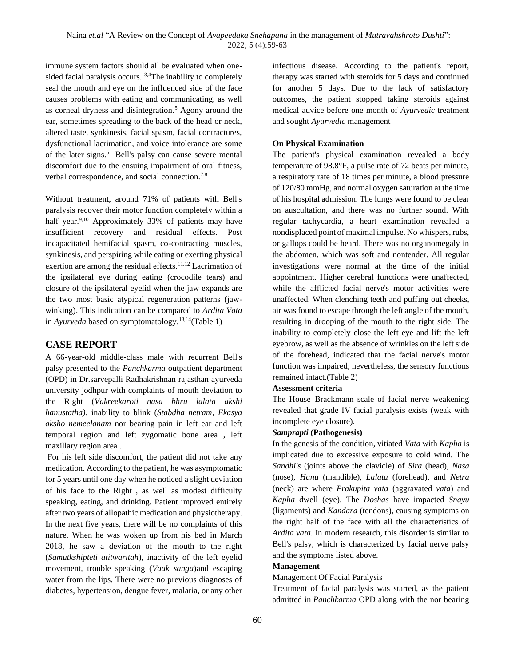immune system factors should all be evaluated when onesided facial paralysis occurs. <sup>3,4</sup>The inability to completely seal the mouth and eye on the influenced side of the face causes problems with eating and communicating, as well as corneal dryness and disintegration.<sup>5</sup> Agony around the ear, sometimes spreading to the back of the head or neck, altered taste, synkinesis, facial spasm, facial contractures, dysfunctional lacrimation, and voice intolerance are some of the later signs.<sup>6</sup> Bell's palsy can cause severe mental discomfort due to the ensuing impairment of oral fitness, verbal correspondence, and social connection.<sup>7,8</sup>

Without treatment, around 71% of patients with Bell's paralysis recover their motor function completely within a half year.<sup>9,10</sup> Approximately 33% of patients may have insufficient recovery and residual effects. Post incapacitated hemifacial spasm, co-contracting muscles, synkinesis, and perspiring while eating or exerting physical exertion are among the residual effects.<sup>11,12</sup> Lacrimation of the ipsilateral eye during eating (crocodile tears) and closure of the ipsilateral eyelid when the jaw expands are the two most basic atypical regeneration patterns (jawwinking). This indication can be compared to *Ardita Vata* in *Ayurveda* based on symptomatology.13,14(Table 1)

# **CASE REPORT**

A 66-year-old middle-class male with recurrent Bell's palsy presented to the *Panchkarma* outpatient department (OPD) in Dr.sarvepalli Radhakrishnan rajasthan ayurveda university jodhpur with complaints of mouth deviation to the Right (*Vakreekaroti nasa bhru lalata akshi hanustatha)*, inability to blink (*Stabdha netram*, *Ekasya aksho nemeelanam* nor bearing pain in left ear and left temporal region and left zygomatic bone area , left maxillary region area .

For his left side discomfort, the patient did not take any medication. According to the patient, he was asymptomatic for 5 years until one day when he noticed a slight deviation of his face to the Right , as well as modest difficulty speaking, eating, and drinking. Patient improved entirely after two years of allopathic medication and physiotherapy. In the next five years, there will be no complaints of this nature. When he was woken up from his bed in March 2018, he saw a deviation of the mouth to the right (*Samutkshipteti atitwaritah*), inactivity of the left eyelid movement, trouble speaking (*Vaak sanga*)and escaping water from the lips. There were no previous diagnoses of diabetes, hypertension, dengue fever, malaria, or any other infectious disease. According to the patient's report, therapy was started with steroids for 5 days and continued for another 5 days. Due to the lack of satisfactory outcomes, the patient stopped taking steroids against medical advice before one month of *Ayurvedic* treatment and sought *Ayurvedic* management

### **On Physical Examination**

The patient's physical examination revealed a body temperature of 98.8°F, a pulse rate of 72 beats per minute, a respiratory rate of 18 times per minute, a blood pressure of 120/80 mmHg, and normal oxygen saturation at the time of his hospital admission. The lungs were found to be clear on auscultation, and there was no further sound. With regular tachycardia, a heart examination revealed a nondisplaced point of maximal impulse. No whispers, rubs, or gallops could be heard. There was no organomegaly in the abdomen, which was soft and nontender. All regular investigations were normal at the time of the initial appointment. Higher cerebral functions were unaffected, while the afflicted facial nerve's motor activities were unaffected. When clenching teeth and puffing out cheeks, air was found to escape through the left angle of the mouth, resulting in drooping of the mouth to the right side. The inability to completely close the left eye and lift the left eyebrow, as well as the absence of wrinkles on the left side of the forehead, indicated that the facial nerve's motor function was impaired; nevertheless, the sensory functions remained intact.(Table 2)

### **Assessment criteria**

The House–Brackmann scale of facial nerve weakening revealed that grade IV facial paralysis exists (weak with incomplete eye closure).

#### *Samprapti* **(Pathogenesis)**

In the genesis of the condition, vitiated *Vata* with *Kapha* is implicated due to excessive exposure to cold wind. The *Sandhi's* (joints above the clavicle) of *Sira* (head), *Nasa* (nose), *Hanu* (mandible), *Lalata* (forehead), and *Netra* (neck) are where *Prakupita vata* (aggravated *vata*) and *Kapha* dwell (eye). The *Doshas* have impacted *Snayu*  (ligaments) and *Kandara* (tendons), causing symptoms on the right half of the face with all the characteristics of *Ardita vata*. In modern research, this disorder is similar to Bell's palsy, which is characterized by facial nerve palsy and the symptoms listed above.

#### **Management**

Management Of Facial Paralysis

Treatment of facial paralysis was started, as the patient admitted in *Panchkarma* OPD along with the nor bearing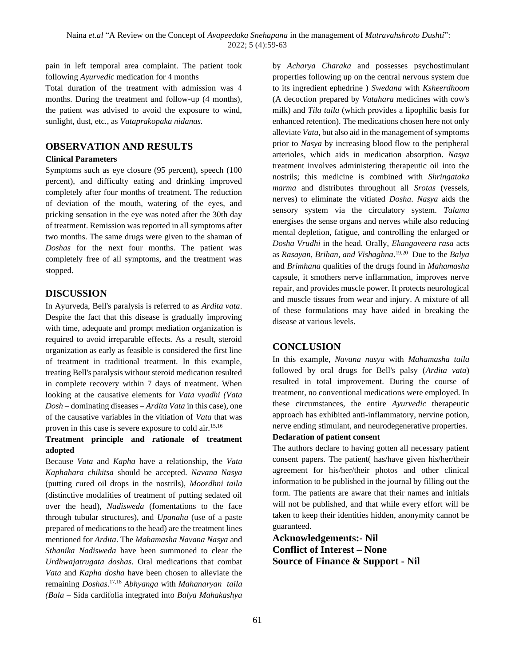pain in left temporal area complaint. The patient took following *Ayurvedic* medication for 4 months

Total duration of the treatment with admission was 4 months. During the treatment and follow-up (4 months), the patient was advised to avoid the exposure to wind, sunlight, dust, etc., as *Vataprakopaka nidanas.*

# **OBSERVATION AND RESULTS**

### **Clinical Parameters**

Symptoms such as eye closure (95 percent), speech (100 percent), and difficulty eating and drinking improved completely after four months of treatment. The reduction of deviation of the mouth, watering of the eyes, and pricking sensation in the eye was noted after the 30th day of treatment. Remission was reported in all symptoms after two months. The same drugs were given to the shaman of *Doshas* for the next four months. The patient was completely free of all symptoms, and the treatment was stopped.

# **DISCUSSION**

In Ayurveda, Bell's paralysis is referred to as *Ardita vata*. Despite the fact that this disease is gradually improving with time, adequate and prompt mediation organization is required to avoid irreparable effects. As a result, steroid organization as early as feasible is considered the first line of treatment in traditional treatment. In this example, treating Bell's paralysis without steroid medication resulted in complete recovery within 7 days of treatment. When looking at the causative elements for *Vata vyadhi (Vata Dosh –* dominating diseases – *Ardita Vata* in this case), one of the causative variables in the vitiation of *Vata* that was proven in this case is severe exposure to cold air.15,16

### **Treatment principle and rationale of treatment adopted**

Because *Vata* and *Kapha* have a relationship, the *Vata Kaphahara chikitsa* should be accepted. *Navana Nasya* (putting cured oil drops in the nostrils), *Moordhni taila* (distinctive modalities of treatment of putting sedated oil over the head), *Nadisweda* (fomentations to the face through tubular structures), and *Upanaha* (use of a paste prepared of medications to the head) are the treatment lines mentioned for *Ardita*. The *Mahamasha Navana Nasya* and *Sthanika Nadisweda* have been summoned to clear the *Urdhwajatrugata doshas*. Oral medications that combat *Vata* and *Kapha dosha* have been chosen to alleviate the remaining *Doshas*. 17,18 *Abhyanga* with *Mahanaryan taila (Bala* – Sida cardifolia integrated into *Balya Mahakashya*

by *Acharya Charaka* and possesses psychostimulant properties following up on the central nervous system due to its ingredient ephedrine ) *Swedana* with *Ksheerdhoom*  (A decoction prepared by *Vatahara* medicines with cow's milk) and *Tila taila* (which provides a lipophilic basis for enhanced retention). The medications chosen here not only alleviate *Vata*, but also aid in the management of symptoms prior to *Nasya* by increasing blood flow to the peripheral arterioles, which aids in medication absorption. *Nasya* treatment involves administering therapeutic oil into the nostrils; this medicine is combined with *Shringataka marma* and distributes throughout all *Srotas* (vessels, nerves) to eliminate the vitiated *Dosha*. *Nasya* aids the sensory system via the circulatory system. *Talama* energises the sense organs and nerves while also reducing mental depletion, fatigue, and controlling the enlarged or *Dosha Vrudhi* in the head. Orally, *Ekangaveera rasa* acts as *Rasayan, Brihan, and Vishaghna*. 19,20 Due to the *Balya*  and *Brimhana* qualities of the drugs found in *Mahamasha*  capsule, it smothers nerve inflammation, improves nerve repair, and provides muscle power. It protects neurological and muscle tissues from wear and injury. A mixture of all of these formulations may have aided in breaking the disease at various levels.

# **CONCLUSION**

In this example, *Navana nasya* with *Mahamasha taila* followed by oral drugs for Bell's palsy (*Ardita vata*) resulted in total improvement. During the course of treatment, no conventional medications were employed. In these circumstances, the entire *Ayurvedic* therapeutic approach has exhibited anti-inflammatory, nervine potion, nerve ending stimulant, and neurodegenerative properties.

# **Declaration of patient consent**

The authors declare to having gotten all necessary patient consent papers. The patient( has/have given his/her/their agreement for his/her/their photos and other clinical information to be published in the journal by filling out the form. The patients are aware that their names and initials will not be published, and that while every effort will be taken to keep their identities hidden, anonymity cannot be guaranteed.

**Acknowledgements:- Nil Conflict of Interest – None Source of Finance & Support - Nil**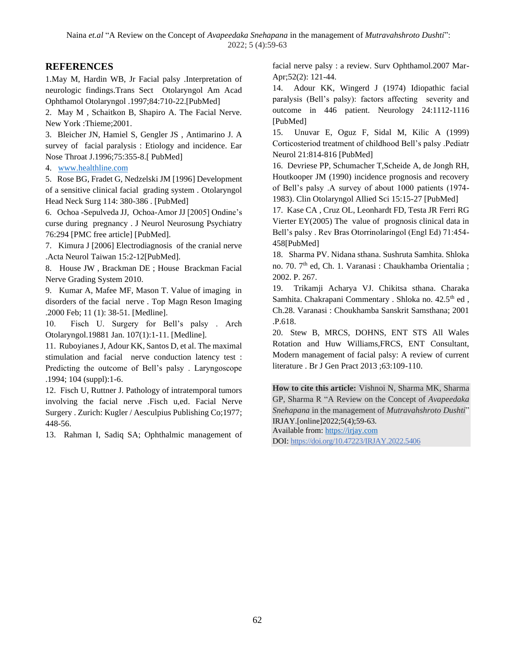# **REFERENCES**

1.May M, Hardin WB, Jr Facial palsy .Interpretation of neurologic findings.Trans Sect Otolaryngol Am Acad Ophthamol Otolaryngol .1997;84:710-22.[PubMed]

2. May M , Schaitkon B, Shapiro A. The Facial Nerve. New York :Thieme;2001.

3. Bleicher JN, Hamiel S, Gengler JS , Antimarino J. A survey of facial paralysis : Etiology and incidence. Ear Nose Throat J.1996;75:355-8.[ PubMed]

4. [www.healthline.com](http://www.healthline.com/)

5. Rose BG, Fradet G, Nedzelski JM [1996] Development of a sensitive clinical facial grading system . Otolaryngol Head Neck Surg 114: 380-386 . [PubMed]

6. Ochoa -Sepulveda JJ, Ochoa-Amor JJ [2005] Ondine's curse during pregnancy . J Neurol Neurosung Psychiatry 76:294 [PMC free article] [PubMed].

7. Kimura J [2006] Electrodiagnosis of the cranial nerve .Acta Neurol Taiwan 15:2-12[PubMed].

8. House JW , Brackman DE ; House Brackman Facial Nerve Grading System 2010.

9. Kumar A, Mafee MF, Mason T. Value of imaging in disorders of the facial nerve . Top Magn Reson Imaging .2000 Feb; 11 (1): 38-51. [Medline].

10. Fisch U. Surgery for Bell's palsy . Arch Otolaryngol.19881 Jan. 107(1):1-11. [Medline].

11. Ruboyianes J, Adour KK, Santos D, et al. The maximal stimulation and facial nerve conduction latency test : Predicting the outcome of Bell's palsy . Laryngoscope .1994; 104 (suppl):1-6.

12. Fisch U, Ruttner J. Pathology of intratemporal tumors involving the facial nerve .Fisch u,ed. Facial Nerve Surgery . Zurich: Kugler / Aesculpius Publishing Co;1977; 448-56.

13. Rahman I, Sadiq SA; Ophthalmic management of

facial nerve palsy : a review. Surv Ophthamol.2007 Mar-Apr;52(2): 121-44.

14. Adour KK, Wingerd J (1974) Idiopathic facial paralysis (Bell's palsy): factors affecting severity and outcome in 446 patient. Neurology 24:1112-1116 [PubMed]

15. Unuvar E, Oguz F, Sidal M, Kilic A (1999) Corticosteriod treatment of childhood Bell's palsy .Pediatr Neurol 21:814-816 [PubMed]

16. Devriese PP, Schumacher T,Scheide A, de Jongh RH, Houtkooper JM (1990) incidence prognosis and recovery of Bell's palsy .A survey of about 1000 patients (1974- 1983). Clin Otolaryngol Allied Sci 15:15-27 [PubMed]

17. Kase CA , Cruz OL, Leonhardt FD, Testa JR Ferri RG Vierter EY(2005) The value of prognosis clinical data in Bell's palsy . Rev Bras Otorrinolaringol (Engl Ed) 71:454- 458[PubMed]

18. Sharma PV. Nidana sthana. Sushruta Samhita. Shloka no. 70. 7th ed, Ch. 1. Varanasi : Chaukhamba Orientalia ; 2002. P. 267.

19. Trikamji Acharya VJ. Chikitsa sthana. Charaka Samhita. Chakrapani Commentary . Shloka no. 42.5<sup>th</sup> ed, Ch.28. Varanasi : Choukhamba Sanskrit Samsthana; 2001 .P.618.

20. Stew B, MRCS, DOHNS, ENT STS All Wales Rotation and Huw Williams,FRCS, ENT Consultant, Modern management of facial palsy: A review of current literature . Br J Gen Pract 2013 ;63:109-110.

**How to cite this article:** Vishnoi N, Sharma MK, Sharma GP, Sharma R "A Review on the Concept of *Avapeedaka Snehapana* in the management of *Mutravahshroto Dushti*" IRJAY.[online]2022;5(4);59-63. Available from: [https://irjay.com](https://irjay.com/) DOI: https://doi.org/10.47223/IRJAY.2022.5406